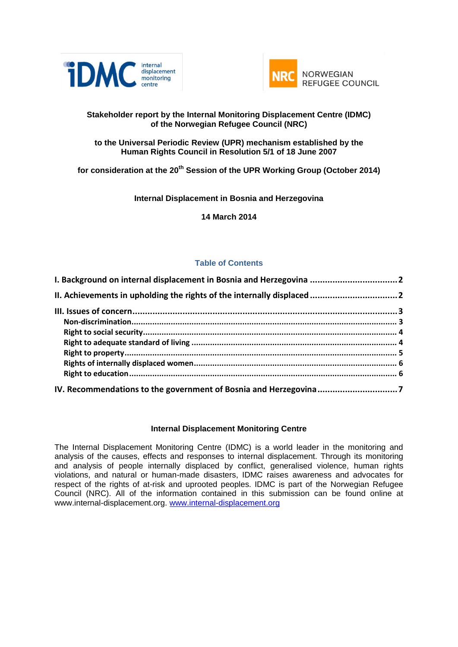



### **Stakeholder report by the Internal Monitoring Displacement Centre (IDMC) of the Norwegian Refugee Council (NRC)**

### **to the Universal Periodic Review (UPR) mechanism established by the Human Rights Council in Resolution 5/1 of 18 June 2007**

**for consideration at the 20th Session of the UPR Working Group (October 2014)**

### **Internal Displacement in Bosnia and Herzegovina**

**14 March 2014**

### **Table of Contents**

| I. Background on internal displacement in Bosnia and Herzegovina  2 |  |
|---------------------------------------------------------------------|--|
|                                                                     |  |
|                                                                     |  |
|                                                                     |  |
|                                                                     |  |
|                                                                     |  |
|                                                                     |  |
|                                                                     |  |
|                                                                     |  |
|                                                                     |  |

### **Internal Displacement Monitoring Centre**

The Internal Displacement Monitoring Centre (IDMC) is a world leader in the monitoring and analysis of the causes, effects and responses to internal displacement. Through its monitoring and analysis of people internally displaced by conflict, generalised violence, human rights violations, and natural or human-made disasters, IDMC raises awareness and advocates for respect of the rights of at-risk and uprooted peoples. IDMC is part of the Norwegian Refugee Council (NRC). All of the information contained in this submission can be found online at www.internal-displacement.org. [www.internal-displacement.org](http://www.internal-displacement.org/)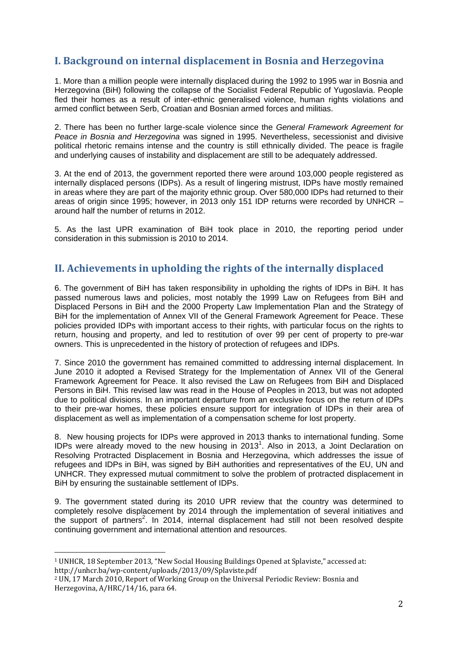# **I. Background on internal displacement in Bosnia and Herzegovina**

1. More than a million people were internally displaced during the 1992 to 1995 war in Bosnia and Herzegovina (BiH) following the collapse of the Socialist Federal Republic of Yugoslavia. People fled their homes as a result of inter-ethnic generalised violence, human rights violations and armed conflict between Serb, Croatian and Bosnian armed forces and militias.

2. There has been no further large-scale violence since the *General Framework Agreement for Peace in Bosnia and Herzegovina* was signed in 1995. Nevertheless, secessionist and divisive political rhetoric remains intense and the country is still ethnically divided. The peace is fragile and underlying causes of instability and displacement are still to be adequately addressed.

3. At the end of 2013, the government reported there were around 103,000 people registered as internally displaced persons (IDPs). As a result of lingering mistrust, IDPs have mostly remained in areas where they are part of the majority ethnic group. Over 580,000 IDPs had returned to their areas of origin since 1995; however, in 2013 only 151 IDP returns were recorded by UNHCR – around half the number of returns in 2012.

5. As the last UPR examination of BiH took place in 2010, the reporting period under consideration in this submission is 2010 to 2014.

# **II. Achievements in upholding the rights of the internally displaced**

6. The government of BiH has taken responsibility in upholding the rights of IDPs in BiH. It has passed numerous laws and policies, most notably the 1999 Law on Refugees from BiH and Displaced Persons in BiH and the 2000 Property Law Implementation Plan and the Strategy of BiH for the implementation of Annex VII of the General Framework Agreement for Peace. These policies provided IDPs with important access to their rights, with particular focus on the rights to return, housing and property, and led to restitution of over 99 per cent of property to pre-war owners. This is unprecedented in the history of protection of refugees and IDPs.

7. Since 2010 the government has remained committed to addressing internal displacement. In June 2010 it adopted a Revised Strategy for the Implementation of Annex VII of the General Framework Agreement for Peace. It also revised the Law on Refugees from BiH and Displaced Persons in BiH. This revised law was read in the House of Peoples in 2013, but was not adopted due to political divisions. In an important departure from an exclusive focus on the return of IDPs to their pre-war homes, these policies ensure support for integration of IDPs in their area of displacement as well as implementation of a compensation scheme for lost property.

8. New housing projects for IDPs were approved in 2013 thanks to international funding. Some IDPs were already moved to the new housing in 2013<sup>1</sup>. Also in 2013, a Joint Declaration on Resolving Protracted Displacement in Bosnia and Herzegovina, which addresses the issue of refugees and IDPs in BiH, was signed by BiH authorities and representatives of the EU, UN and UNHCR. They expressed mutual commitment to solve the problem of protracted displacement in BiH by ensuring the sustainable settlement of IDPs.

9. The government stated during its 2010 UPR review that the country was determined to completely resolve displacement by 2014 through the implementation of several initiatives and the support of partners<sup>2</sup>. In 2014, internal displacement had still not been resolved despite continuing government and international attention and resources.

<u>.</u>

<sup>1</sup> UNHCR, 18 September 2013, "New Social Housing Buildings Opened at Splaviste," accessed at: http://unhcr.ba/wp-content/uploads/2013/09/Splaviste.pdf

<sup>2</sup> UN, 17 March 2010, Report of Working Group on the Universal Periodic Review: Bosnia and Herzegovina, A/HRC/14/16, para 64.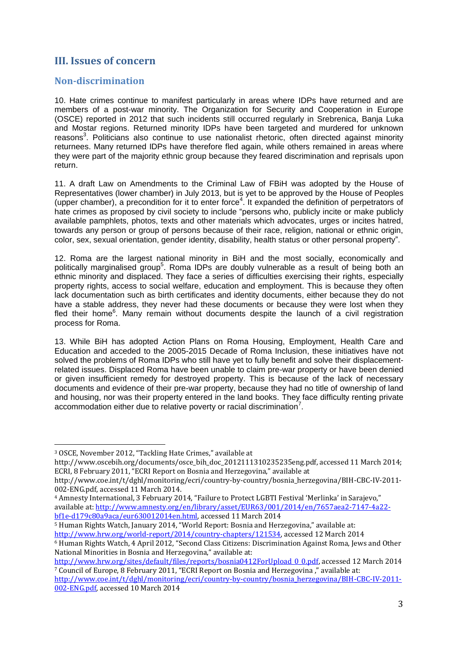## **III. Issues of concern**

### **Non-discrimination**

10. Hate crimes continue to manifest particularly in areas where IDPs have returned and are members of a post-war minority. The Organization for Security and Cooperation in Europe (OSCE) reported in 2012 that such incidents still occurred regularly in Srebrenica, Banja Luka and Mostar regions. Returned minority IDPs have been targeted and murdered for unknown reasons<sup>3</sup>. Politicians also continue to use nationalist rhetoric, often directed against minority returnees. Many returned IDPs have therefore fled again, while others remained in areas where they were part of the majority ethnic group because they feared discrimination and reprisals upon return.

11. A draft Law on Amendments to the Criminal Law of FBiH was adopted by the House of Representatives (lower chamber) in July 2013, but is yet to be approved by the House of Peoples (upper chamber), a precondition for it to enter force<sup>4</sup>. It expanded the definition of perpetrators of hate crimes as proposed by civil society to include "persons who, publicly incite or make publicly available pamphlets, photos, texts and other materials which advocates, urges or incites hatred, towards any person or group of persons because of their race, religion, national or ethnic origin, color, sex, sexual orientation, gender identity, disability, health status or other personal property".

12. Roma are the largest national minority in BiH and the most socially, economically and politically marginalised group<sup>5</sup>. Roma IDPs are doubly vulnerable as a result of being both an ethnic minority and displaced. They face a series of difficulties exercising their rights, especially property rights, access to social welfare, education and employment. This is because they often lack documentation such as birth certificates and identity documents, either because they do not have a stable address, they never had these documents or because they were lost when they fled their home<sup>6</sup>. Many remain without documents despite the launch of a civil registration process for Roma.

13. While BiH has adopted Action Plans on Roma Housing, Employment, Health Care and Education and acceded to the 2005-2015 Decade of Roma Inclusion, these initiatives have not solved the problems of Roma IDPs who still have yet to fully benefit and solve their displacementrelated issues. Displaced Roma have been unable to claim pre-war property or have been denied or given insufficient remedy for destroyed property. This is because of the lack of necessary documents and evidence of their pre-war property, because they had no title of ownership of land and housing, nor was their property entered in the land books. They face difficulty renting private accommodation either due to relative poverty or racial discrimination<sup>7</sup>.

<u>.</u>

<sup>5</sup> Human Rights Watch, January 2014, "World Report: Bosnia and Herzegovina," available at: [http://www.hrw.org/world-report/2014/country-chapters/121534,](http://www.hrw.org/world-report/2014/country-chapters/121534) accessed 12 March 2014

<sup>3</sup> OSCE, November 2012, "Tackling Hate Crimes," available at

http://www.oscebih.org/documents/osce\_bih\_doc\_2012111310235235eng.pdf, accessed 11 March 2014; ECRI, 8 February 2011, "ECRI Report on Bosnia and Herzegovina," available at

http://www.coe.int/t/dghl/monitoring/ecri/country-by-country/bosnia\_herzegovina/BIH-CBC-IV-2011- 002-ENG.pdf, accessed 11 March 2014.

<sup>4</sup> Amnesty International, 3 February 2014, "Failure to Protect LGBTI Festival 'Merlinka' in Sarajevo," available at[: http://www.amnesty.org/en/library/asset/EUR63/001/2014/en/7657aea2-7147-4a22](http://www.amnesty.org/en/library/asset/EUR63/001/2014/en/7657aea2-7147-4a22-bf1e-d179c80a9aca/eur630012014en.html) [bf1e-d179c80a9aca/eur630012014en.html,](http://www.amnesty.org/en/library/asset/EUR63/001/2014/en/7657aea2-7147-4a22-bf1e-d179c80a9aca/eur630012014en.html) accessed 11 March 2014

<sup>6</sup> Human Rights Watch, 4 April 2012, "Second Class Citizens: Discrimination Against Roma, Jews and Other National Minorities in Bosnia and Herzegovina," available at:

[http://www.hrw.org/sites/default/files/reports/bosnia0412ForUpload\\_0\\_0.pdf,](http://www.hrw.org/sites/default/files/reports/bosnia0412ForUpload_0_0.pdf) accessed 12 March 2014 <sup>7</sup> Council of Europe, 8 February 2011, "ECRI Report on Bosnia and Herzegovina ," available at:

[http://www.coe.int/t/dghl/monitoring/ecri/country-by-country/bosnia\\_herzegovina/BIH-CBC-IV-2011-](http://www.coe.int/t/dghl/monitoring/ecri/country-by-country/bosnia_herzegovina/BIH-CBC-IV-2011-002-ENG.pdf) [002-ENG.pdf,](http://www.coe.int/t/dghl/monitoring/ecri/country-by-country/bosnia_herzegovina/BIH-CBC-IV-2011-002-ENG.pdf) accessed 10 March 2014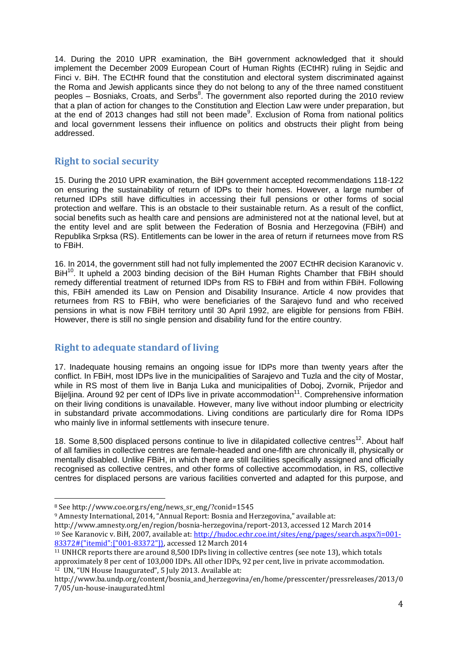14. During the 2010 UPR examination, the BiH government acknowledged that it should implement the December 2009 European Court of Human Rights (ECtHR) ruling in Sejdic and Finci v. BiH. The ECtHR found that the constitution and electoral system discriminated against the Roma and Jewish applicants since they do not belong to any of the three named constituent peoples - Bosniaks, Croats, and Serbs<sup>8</sup>. The government also reported during the 2010 review that a plan of action for changes to the Constitution and Election Law were under preparation, but at the end of 2013 changes had still not been made<sup>9</sup>. Exclusion of Roma from national politics and local government lessens their influence on politics and obstructs their plight from being addressed.

### **Right to social security**

15. During the 2010 UPR examination, the BiH government accepted recommendations 118-122 on ensuring the sustainability of return of IDPs to their homes. However, a large number of returned IDPs still have difficulties in accessing their full pensions or other forms of social protection and welfare. This is an obstacle to their sustainable return. As a result of the conflict, social benefits such as health care and pensions are administered not at the national level, but at the entity level and are split between the Federation of Bosnia and Herzegovina (FBiH) and Republika Srpksa (RS). Entitlements can be lower in the area of return if returnees move from RS to FBiH.

16. In 2014, the government still had not fully implemented the 2007 ECtHR decision Karanovic v. BiH<sup>10</sup>. It upheld a 2003 binding decision of the BiH Human Rights Chamber that FBiH should remedy differential treatment of returned IDPs from RS to FBiH and from within FBiH. Following this, FBiH amended its Law on Pension and Disability Insurance. Article 4 now provides that returnees from RS to FBiH, who were beneficiaries of the Sarajevo fund and who received pensions in what is now FBiH territory until 30 April 1992, are eligible for pensions from FBiH. However, there is still no single pension and disability fund for the entire country.

## **Right to adequate standard of living**

17. Inadequate housing remains an ongoing issue for IDPs more than twenty years after the conflict. In FBiH, most IDPs live in the municipalities of Sarajevo and Tuzla and the city of Mostar, while in RS most of them live in Banja Luka and municipalities of Doboj, Zvornik, Prijedor and Bijeljina. Around 92 per cent of IDPs live in private accommodation<sup>11</sup>. Comprehensive information on their living conditions is unavailable. However, many live without indoor plumbing or electricity in substandard private accommodations. Living conditions are particularly dire for Roma IDPs who mainly live in informal settlements with insecure tenure.

18. Some 8,500 displaced persons continue to live in dilapidated collective centres<sup>12</sup>. About half of all families in collective centres are female-headed and one-fifth are chronically ill, physically or mentally disabled. Unlike FBiH, in which there are still facilities specifically assigned and officially recognised as collective centres, and other forms of collective accommodation, in RS, collective centres for displaced persons are various facilities converted and adapted for this purpose, and

<u>.</u>

http://www.amnesty.org/en/region/bosnia-herzegovina/report-2013, accessed 12 March 2014

<sup>8</sup> See http://www.coe.org.rs/eng/news\_sr\_eng/?conid=1545

<sup>9</sup> Amnesty International, 2014, "Annual Report: Bosnia and Herzegovina," available at:

<sup>10</sup> See Karanovic v. BiH, 2007, available at: [http://hudoc.echr.coe.int/sites/eng/pages/search.aspx?i=001-](http://hudoc.echr.coe.int/sites/eng/pages/search.aspx?i=001-83372#{"itemid":["001-83372"]}) [83372#{"itemid":\["001-83372"\]},](http://hudoc.echr.coe.int/sites/eng/pages/search.aspx?i=001-83372#{"itemid":["001-83372"]}) accessed 12 March 2014

<sup>11</sup> UNHCR reports there are around 8,500 IDPs living in collective centres (see note 13), which totals approximately 8 per cent of 103,000 IDPs. All other IDPs, 92 per cent, live in private accommodation. <sup>12</sup> UN, "UN House Inaugurated", 5 July 2013. Available at:

http://www.ba.undp.org/content/bosnia\_and\_herzegovina/en/home/presscenter/pressreleases/2013/0 7/05/un-house-inaugurated.html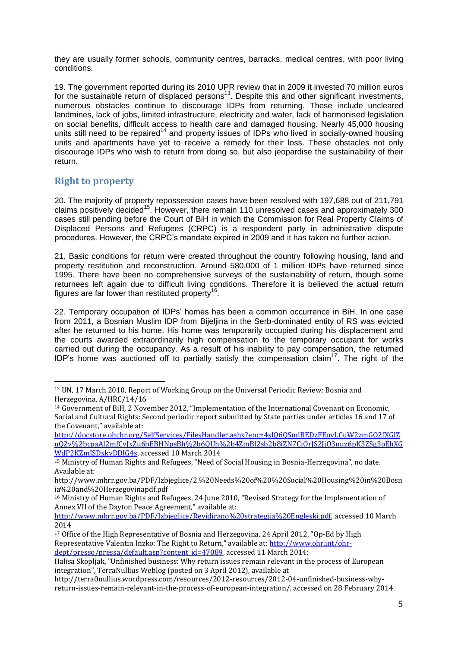they are usually former schools, community centres, barracks, medical centres, with poor living conditions.

19. The government reported during its 2010 UPR review that in 2009 it invested 70 million euros for the sustainable return of displaced persons<sup>13</sup>. Despite this and other significant investments, numerous obstacles continue to discourage IDPs from returning. These include uncleared landmines, lack of jobs, limited infrastructure, electricity and water, lack of harmonised legislation on social benefits, difficult access to health care and damaged housing. Nearly 45,000 housing units still need to be repaired<sup>14</sup> and property issues of IDPs who lived in socially-owned housing units and apartments have yet to receive a remedy for their loss. These obstacles not only discourage IDPs who wish to return from doing so, but also jeopardise the sustainability of their return.

## **Right to property**

20. The majority of property repossession cases have been resolved with 197,688 out of 211,791 claims positively decided<sup>15</sup>. However, there remain 110 unresolved cases and approximately 300 cases still pending before the Court of BiH in which the Commission for Real Property Claims of Displaced Persons and Refugees (CRPC) is a respondent party in administrative dispute procedures. However, the CRPC's mandate expired in 2009 and it has taken no further action.

21. Basic conditions for return were created throughout the country following housing, land and property restitution and reconstruction. Around 580,000 of 1 million IDPs have returned since 1995. There have been no comprehensive surveys of the sustainability of return, though some returnees left again due to difficult living conditions. Therefore it is believed the actual return figures are far lower than restituted property<sup>16</sup>.

22. Temporary occupation of IDPs' homes has been a common occurrence in BiH. In one case from 2011, a Bosnian Muslim IDP from Bijeljina in the Serb-dominated entity of RS was evicted after he returned to his home. His home was temporarily occupied during his displacement and the courts awarded extraordinarily high compensation to the temporary occupant for works carried out during the occupancy. As a result of his inability to pay compensation, the returned IDP's home was auctioned off to partially satisfy the compensation claim<sup>17</sup>. The right of the

<sup>&</sup>lt;u>.</u> <sup>13</sup> UN, 17 March 2010, Report of Working Group on the Universal Periodic Review: Bosnia and Herzegovina, A/HRC/14/16

<sup>14</sup> Government of BiH, 2 November 2012, "Implementation of the International Covenant on Economic, Social and Cultural Rights: Second periodic report submitted by State parties under articles 16 and 17 of the Covenant," available at:

[http://docstore.ohchr.org/SelfServices/FilesHandler.ashx?enc=4slQ6QSmlBEDzFEovLCuW2zmGO2fXGlZ](http://docstore.ohchr.org/SelfServices/FilesHandler.ashx?enc=4slQ6QSmlBEDzFEovLCuW2zmGO2fXGlZuQ2v%2bcpaAl2mfCvJxZu6bEBHNpsBh%2b6QUh%2b4ZmBl2sb2b8iZN7CiOrJS2JjO3nuz6pK3ZSg3oEhXGWdP2KZmJSDxkvDDlG4s) [uQ2v%2bcpaAl2mfCvJxZu6bEBHNpsBh%2b6QUh%2b4ZmBl2sb2b8iZN7CiOrJS2JjO3nuz6pK3ZSg3oEhXG](http://docstore.ohchr.org/SelfServices/FilesHandler.ashx?enc=4slQ6QSmlBEDzFEovLCuW2zmGO2fXGlZuQ2v%2bcpaAl2mfCvJxZu6bEBHNpsBh%2b6QUh%2b4ZmBl2sb2b8iZN7CiOrJS2JjO3nuz6pK3ZSg3oEhXGWdP2KZmJSDxkvDDlG4s) [WdP2KZmJSDxkvDDlG4s,](http://docstore.ohchr.org/SelfServices/FilesHandler.ashx?enc=4slQ6QSmlBEDzFEovLCuW2zmGO2fXGlZuQ2v%2bcpaAl2mfCvJxZu6bEBHNpsBh%2b6QUh%2b4ZmBl2sb2b8iZN7CiOrJS2JjO3nuz6pK3ZSg3oEhXGWdP2KZmJSDxkvDDlG4s) accessed 10 March 2014

<sup>15</sup> Ministry of Human Rights and Refugees, "Need of Social Housing in Bosnia-Herzegovina", no date. Available at:

http://www.mhrr.gov.ba/PDF/Izbjeglice/2.%20Needs%20of%20%20Social%20Housing%20in%20Bosn ia%20and%20Herzegovinapdf.pdf

<sup>16</sup> Ministry of Human Rights and Refugees, 24 June 2010, "Revised Strategy for the Implementation of Annex VII of the Dayton Peace Agreement," available at:

[http://www.mhrr.gov.ba/PDF/Izbjeglice/Revidirano%20strategija%20Engleski.pdf,](http://www.mhrr.gov.ba/PDF/Izbjeglice/Revidirano%20strategija%20Engleski.pdf) accessed 10 March 2014

<sup>&</sup>lt;sup>17</sup> Office of the High Representative of Bosnia and Herzegovina, 24 April 2012, "Op-Ed by High Representative Valentin Inzko: The Right to Return," available at: [http://www.ohr.int/ohr](http://www.ohr.int/ohr-dept/presso/pressa/default.asp?content_id=47089)[dept/presso/pressa/default.asp?content\\_id=47089,](http://www.ohr.int/ohr-dept/presso/pressa/default.asp?content_id=47089) accessed 11 March 2014;

Halisa Skopljak, "Unfinished business: Why return issues remain relevant in the process of European integration", TerraNullius Weblog (posted on 3 April 2012), available at

http://terra0nullius.wordpress.com/resources/2012-resources/2012-04-unfinished-business-whyreturn-issues-remain-relevant-in-the-process-of-european-integration/, accessed on 28 February 2014.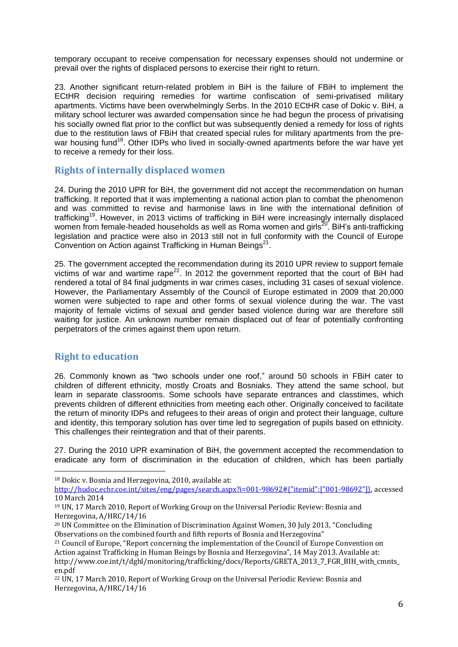temporary occupant to receive compensation for necessary expenses should not undermine or prevail over the rights of displaced persons to exercise their right to return.

23. Another significant return-related problem in BiH is the failure of FBiH to implement the ECtHR decision requiring remedies for wartime confiscation of semi-privatised military apartments. Victims have been overwhelmingly Serbs. In the 2010 ECtHR case of Dokic v. BiH, a military school lecturer was awarded compensation since he had begun the process of privatising his socially owned flat prior to the conflict but was subsequently denied a remedy for loss of rights due to the restitution laws of FBiH that created special rules for military apartments from the prewar housing fund<sup>18</sup>. Other IDPs who lived in socially-owned apartments before the war have yet to receive a remedy for their loss.

### **Rights of internally displaced women**

24. During the 2010 UPR for BiH, the government did not accept the recommendation on human trafficking. It reported that it was implementing a national action plan to combat the phenomenon and was committed to revise and harmonise laws in line with the international definition of trafficking<sup>19</sup>. However, in 2013 victims of trafficking in BiH were increasingly internally displaced women from female-headed households as well as Roma women and girls<sup>20</sup>. BiH's anti-trafficking legislation and practice were also in 2013 still not in full conformity with the Council of Europe Convention on Action against Trafficking in Human Beings<sup>21</sup>.

25. The government accepted the recommendation during its 2010 UPR review to support female victims of war and wartime rape<sup>22</sup>. In 2012 the government reported that the court of BiH had rendered a total of 84 final judgments in war crimes cases, including 31 cases of sexual violence. However, the Parliamentary Assembly of the Council of Europe estimated in 2009 that 20,000 women were subjected to rape and other forms of sexual violence during the war. The vast majority of female victims of sexual and gender based violence during war are therefore still waiting for justice. An unknown number remain displaced out of fear of potentially confronting perpetrators of the crimes against them upon return.

## **Right to education**

<u>.</u>

26. Commonly known as "two schools under one roof," around 50 schools in FBiH cater to children of different ethnicity, mostly Croats and Bosniaks. They attend the same school, but learn in separate classrooms. Some schools have separate entrances and classtimes, which prevents children of different ethnicities from meeting each other. Originally conceived to facilitate the return of minority IDPs and refugees to their areas of origin and protect their language, culture and identity, this temporary solution has over time led to segregation of pupils based on ethnicity. This challenges their reintegration and that of their parents.

27. During the 2010 UPR examination of BiH, the government accepted the recommendation to eradicate any form of discrimination in the education of children, which has been partially

<sup>18</sup> Dokic v. Bosnia and Herzegovina, 2010, available at:

[http://hudoc.echr.coe.int/sites/eng/pages/search.aspx?i=001-98692#{"itemid":\["001-98692"\]},](http://hudoc.echr.coe.int/sites/eng/pages/search.aspx?i=001-98692#{"itemid":["001-98692"]}) accessed 10 March 2014

<sup>19</sup> UN, 17 March 2010, Report of Working Group on the Universal Periodic Review: Bosnia and Herzegovina, A/HRC/14/16

<sup>&</sup>lt;sup>20</sup> UN Committee on the Elimination of Discrimination Against Women, 30 July 2013, "Concluding Observations on the combined fourth and fifth reports of Bosnia and Herzegovina"

<sup>&</sup>lt;sup>21</sup> Council of Europe, "Report concerning the implementation of the Council of Europe Convention on Action against Trafficking in Human Beings by Bosnia and Herzegovina", 14 May 2013. Available at: http://www.coe.int/t/dghl/monitoring/trafficking/docs/Reports/GRETA\_2013\_7\_FGR\_BIH\_with\_cmnts\_ en.pdf

<sup>22</sup> UN, 17 March 2010, Report of Working Group on the Universal Periodic Review: Bosnia and Herzegovina, A/HRC/14/16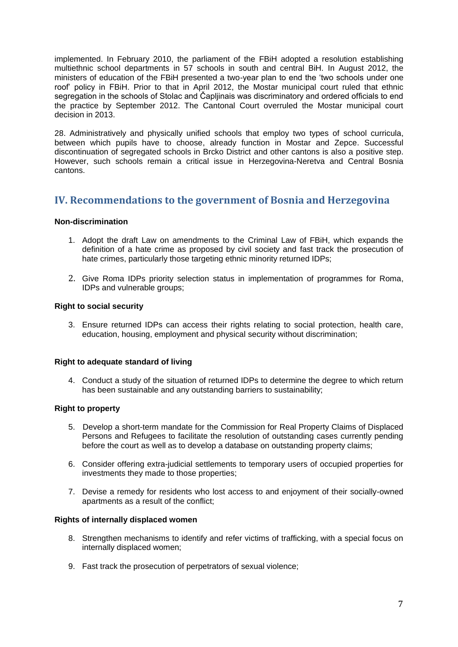implemented. In February 2010, the parliament of the FBiH adopted a resolution establishing multiethnic school departments in 57 schools in south and central BiH. In August 2012, the ministers of education of the FBiH presented a two-year plan to end the 'two schools under one roof' policy in FBiH. Prior to that in April 2012, the Mostar municipal court ruled that ethnic segregation in the schools of Stolac and Čapljinais was discriminatory and ordered officials to end the practice by September 2012. The Cantonal Court overruled the Mostar municipal court decision in 2013.

28. Administratively and physically unified schools that employ two types of school curricula, between which pupils have to choose, already function in Mostar and Zepce. Successful discontinuation of segregated schools in Brcko District and other cantons is also a positive step. However, such schools remain a critical issue in Herzegovina-Neretva and Central Bosnia cantons.

## **IV. Recommendations to the government of Bosnia and Herzegovina**

### **Non-discrimination**

- 1. Adopt the draft Law on amendments to the Criminal Law of FBiH, which expands the definition of a hate crime as proposed by civil society and fast track the prosecution of hate crimes, particularly those targeting ethnic minority returned IDPs;
- 2. Give Roma IDPs priority selection status in implementation of programmes for Roma, IDPs and vulnerable groups;

### **Right to social security**

3. Ensure returned IDPs can access their rights relating to social protection, health care, education, housing, employment and physical security without discrimination;

#### **Right to adequate standard of living**

4. Conduct a study of the situation of returned IDPs to determine the degree to which return has been sustainable and any outstanding barriers to sustainability;

#### **Right to property**

- 5. Develop a short-term mandate for the Commission for Real Property Claims of Displaced Persons and Refugees to facilitate the resolution of outstanding cases currently pending before the court as well as to develop a database on outstanding property claims;
- 6. Consider offering extra-judicial settlements to temporary users of occupied properties for investments they made to those properties;
- 7. Devise a remedy for residents who lost access to and enjoyment of their socially-owned apartments as a result of the conflict;

#### **Rights of internally displaced women**

- 8. Strengthen mechanisms to identify and refer victims of trafficking, with a special focus on internally displaced women;
- 9. Fast track the prosecution of perpetrators of sexual violence;